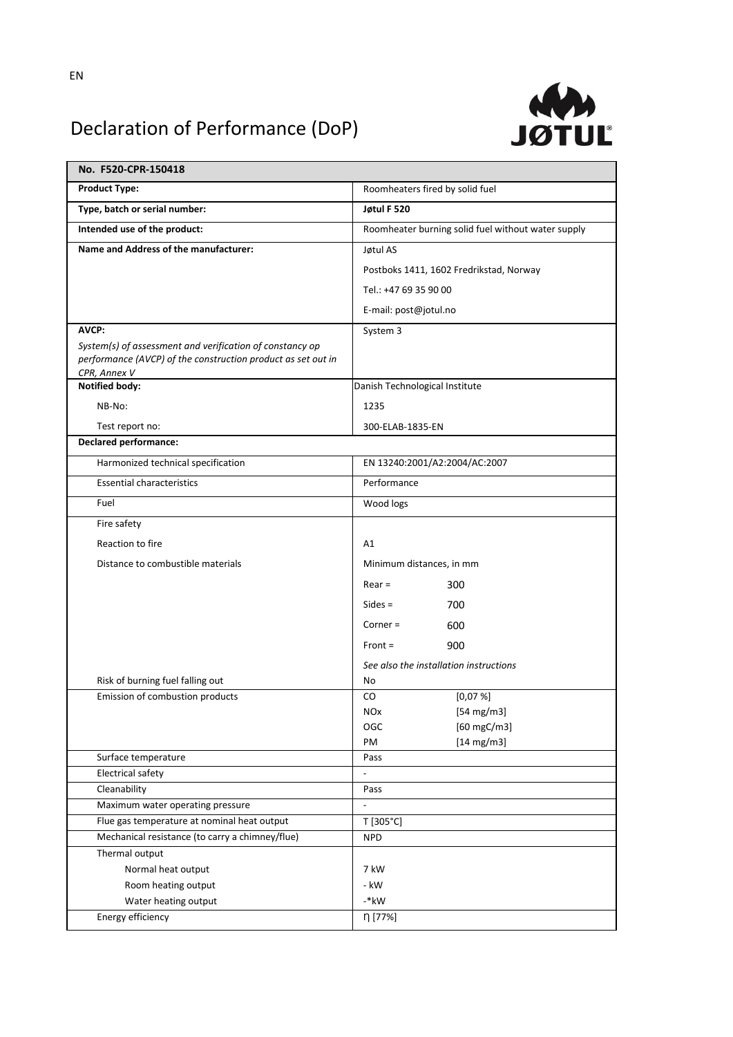

## Declaration of Performance (DoP)

| No. F520-CPR-150418                                                                                                                      |                                                    |
|------------------------------------------------------------------------------------------------------------------------------------------|----------------------------------------------------|
| <b>Product Type:</b>                                                                                                                     | Roomheaters fired by solid fuel                    |
| Type, batch or serial number:                                                                                                            | Jøtul F 520                                        |
| Intended use of the product:                                                                                                             | Roomheater burning solid fuel without water supply |
| Name and Address of the manufacturer:                                                                                                    | Jøtul AS                                           |
|                                                                                                                                          | Postboks 1411, 1602 Fredrikstad, Norway            |
|                                                                                                                                          | Tel.: +47 69 35 90 00                              |
|                                                                                                                                          | E-mail: post@jotul.no                              |
| AVCP:                                                                                                                                    | System 3                                           |
| System(s) of assessment and verification of constancy op<br>performance (AVCP) of the construction product as set out in<br>CPR, Annex V |                                                    |
| <b>Notified body:</b>                                                                                                                    | Danish Technological Institute                     |
| NB-No:                                                                                                                                   | 1235                                               |
| Test report no:                                                                                                                          | 300-ELAB-1835-EN                                   |
| <b>Declared performance:</b>                                                                                                             |                                                    |
| Harmonized technical specification                                                                                                       | EN 13240:2001/A2:2004/AC:2007                      |
| <b>Essential characteristics</b>                                                                                                         | Performance                                        |
| Fuel                                                                                                                                     | Wood logs                                          |
| Fire safety                                                                                                                              |                                                    |
| Reaction to fire                                                                                                                         | A1                                                 |
| Distance to combustible materials                                                                                                        | Minimum distances, in mm                           |
|                                                                                                                                          | $Rear =$<br>300                                    |
|                                                                                                                                          | $Sides =$<br>700                                   |
|                                                                                                                                          | $Corner =$<br>600                                  |
|                                                                                                                                          |                                                    |
|                                                                                                                                          | $Front =$<br>900                                   |
|                                                                                                                                          | See also the installation instructions             |
| Risk of burning fuel falling out<br>Emission of combustion products                                                                      | No<br>[0,07%]<br>CO                                |
|                                                                                                                                          | <b>NO<sub>x</sub></b><br>$[54 \text{ mg/m3}]$      |
|                                                                                                                                          | $[60$ mgC/m3]<br>OGC                               |
|                                                                                                                                          | $[14 \text{ mg/m3}]$<br>PM                         |
| Surface temperature                                                                                                                      | Pass                                               |
| <b>Electrical safety</b>                                                                                                                 | $\frac{1}{2}$                                      |
| Cleanability                                                                                                                             | Pass                                               |
| Maximum water operating pressure                                                                                                         |                                                    |
| Flue gas temperature at nominal heat output<br>Mechanical resistance (to carry a chimney/flue)                                           | T [305°C]                                          |
|                                                                                                                                          | <b>NPD</b>                                         |
| Thermal output<br>Normal heat output                                                                                                     | 7 kW                                               |
| Room heating output                                                                                                                      | - kW                                               |
| Water heating output                                                                                                                     | $-*$ kW                                            |
| Energy efficiency                                                                                                                        | η [77%]                                            |
|                                                                                                                                          |                                                    |